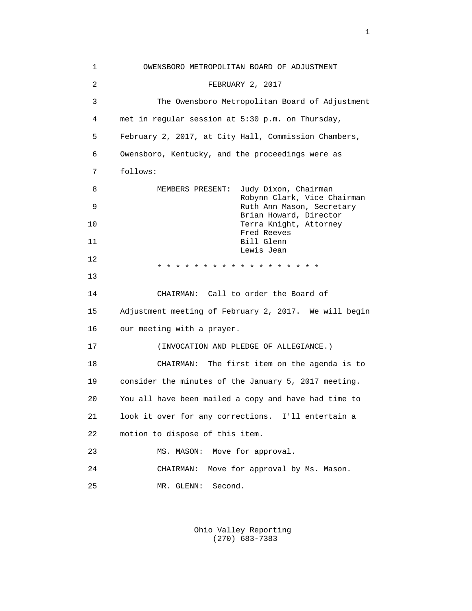1 OWENSBORO METROPOLITAN BOARD OF ADJUSTMENT 2 FEBRUARY 2, 2017 3 The Owensboro Metropolitan Board of Adjustment 4 met in regular session at 5:30 p.m. on Thursday, 5 February 2, 2017, at City Hall, Commission Chambers, 6 Owensboro, Kentucky, and the proceedings were as 7 follows: 8 MEMBERS PRESENT: Judy Dixon, Chairman Robynn Clark, Vice Chairman 9 Ruth Ann Mason, Secretary Brian Howard, Director 10 Terra Knight, Attorney Fred Reeves 11 Bill Glenn Lewis Jean 12 \* \* \* \* \* \* \* \* \* \* \* \* \* \* \* \* \* \* 13 14 CHAIRMAN: Call to order the Board of 15 Adjustment meeting of February 2, 2017. We will begin 16 our meeting with a prayer. 17 (INVOCATION AND PLEDGE OF ALLEGIANCE.) 18 CHAIRMAN: The first item on the agenda is to 19 consider the minutes of the January 5, 2017 meeting. 20 You all have been mailed a copy and have had time to 21 look it over for any corrections. I'll entertain a 22 motion to dispose of this item. 23 MS. MASON: Move for approval. 24 CHAIRMAN: Move for approval by Ms. Mason. 25 MR. GLENN: Second.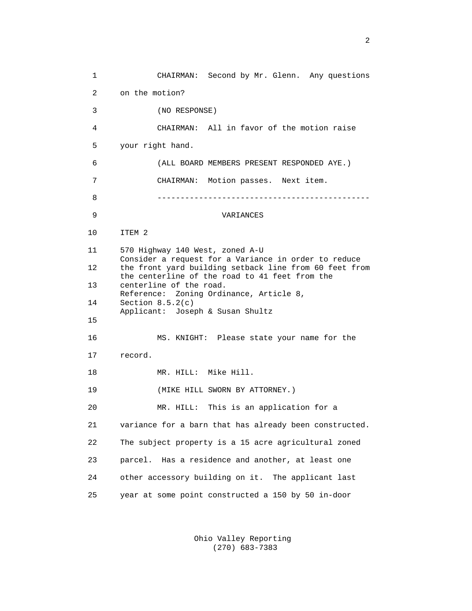1 CHAIRMAN: Second by Mr. Glenn. Any questions 2 on the motion? 3 (NO RESPONSE) 4 CHAIRMAN: All in favor of the motion raise 5 your right hand. 6 (ALL BOARD MEMBERS PRESENT RESPONDED AYE.) 7 CHAIRMAN: Motion passes. Next item. 8 ---------------------------------------------- 9 VARIANCES 10 ITEM 2 11 570 Highway 140 West, zoned A-U Consider a request for a Variance in order to reduce 12 the front yard building setback line from 60 feet from the centerline of the road to 41 feet from the 13 centerline of the road. Reference: Zoning Ordinance, Article 8, 14 Section 8.5.2(c) Applicant: Joseph & Susan Shultz 15 16 MS. KNIGHT: Please state your name for the 17 record. 18 MR. HILL: Mike Hill. 19 (MIKE HILL SWORN BY ATTORNEY.) 20 MR. HILL: This is an application for a 21 variance for a barn that has already been constructed. 22 The subject property is a 15 acre agricultural zoned 23 parcel. Has a residence and another, at least one 24 other accessory building on it. The applicant last 25 year at some point constructed a 150 by 50 in-door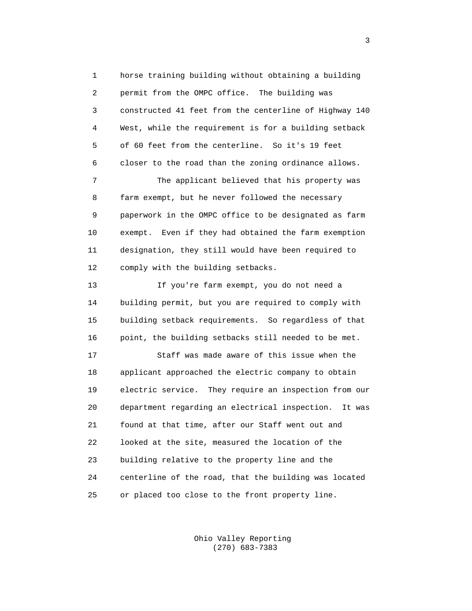1 horse training building without obtaining a building 2 permit from the OMPC office. The building was 3 constructed 41 feet from the centerline of Highway 140 4 West, while the requirement is for a building setback 5 of 60 feet from the centerline. So it's 19 feet 6 closer to the road than the zoning ordinance allows.

 7 The applicant believed that his property was 8 farm exempt, but he never followed the necessary 9 paperwork in the OMPC office to be designated as farm 10 exempt. Even if they had obtained the farm exemption 11 designation, they still would have been required to 12 comply with the building setbacks.

 13 If you're farm exempt, you do not need a 14 building permit, but you are required to comply with 15 building setback requirements. So regardless of that 16 point, the building setbacks still needed to be met.

 17 Staff was made aware of this issue when the 18 applicant approached the electric company to obtain 19 electric service. They require an inspection from our 20 department regarding an electrical inspection. It was 21 found at that time, after our Staff went out and 22 looked at the site, measured the location of the 23 building relative to the property line and the 24 centerline of the road, that the building was located 25 or placed too close to the front property line.

> Ohio Valley Reporting (270) 683-7383

 $\sim$  3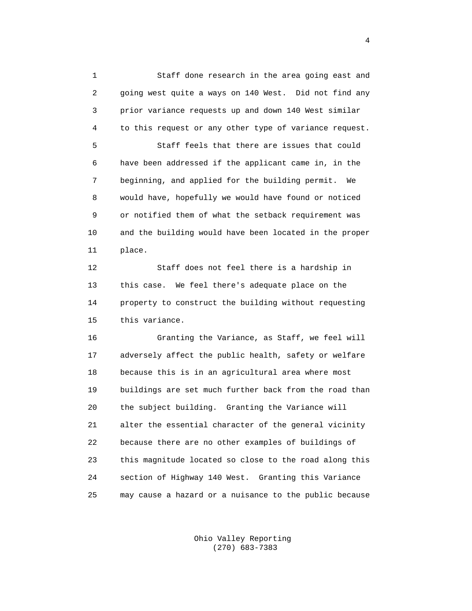1 Staff done research in the area going east and 2 going west quite a ways on 140 West. Did not find any 3 prior variance requests up and down 140 West similar 4 to this request or any other type of variance request.

 5 Staff feels that there are issues that could 6 have been addressed if the applicant came in, in the 7 beginning, and applied for the building permit. We 8 would have, hopefully we would have found or noticed 9 or notified them of what the setback requirement was 10 and the building would have been located in the proper 11 place.

 12 Staff does not feel there is a hardship in 13 this case. We feel there's adequate place on the 14 property to construct the building without requesting 15 this variance.

 16 Granting the Variance, as Staff, we feel will 17 adversely affect the public health, safety or welfare 18 because this is in an agricultural area where most 19 buildings are set much further back from the road than 20 the subject building. Granting the Variance will 21 alter the essential character of the general vicinity 22 because there are no other examples of buildings of 23 this magnitude located so close to the road along this 24 section of Highway 140 West. Granting this Variance 25 may cause a hazard or a nuisance to the public because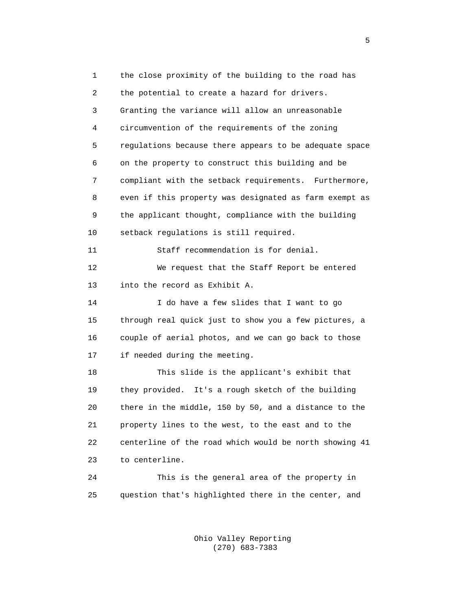1 the close proximity of the building to the road has 2 the potential to create a hazard for drivers. 3 Granting the variance will allow an unreasonable 4 circumvention of the requirements of the zoning 5 regulations because there appears to be adequate space 6 on the property to construct this building and be 7 compliant with the setback requirements. Furthermore, 8 even if this property was designated as farm exempt as 9 the applicant thought, compliance with the building 10 setback regulations is still required. 11 Staff recommendation is for denial. 12 We request that the Staff Report be entered 13 into the record as Exhibit A. 14 I do have a few slides that I want to go 15 through real quick just to show you a few pictures, a 16 couple of aerial photos, and we can go back to those 17 if needed during the meeting. 18 This slide is the applicant's exhibit that 19 they provided. It's a rough sketch of the building 20 there in the middle, 150 by 50, and a distance to the 21 property lines to the west, to the east and to the 22 centerline of the road which would be north showing 41 23 to centerline. 24 This is the general area of the property in 25 question that's highlighted there in the center, and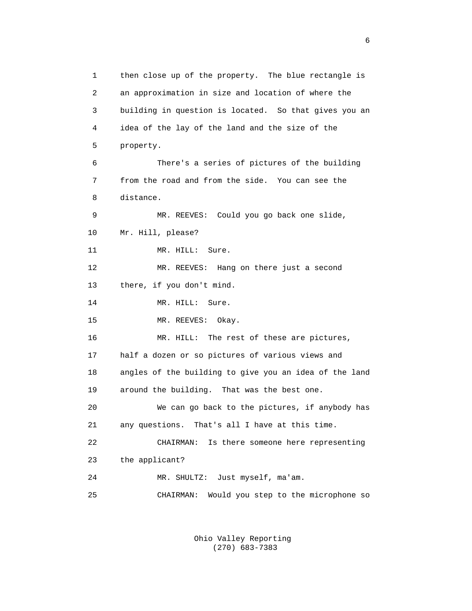1 then close up of the property. The blue rectangle is 2 an approximation in size and location of where the 3 building in question is located. So that gives you an 4 idea of the lay of the land and the size of the 5 property. 6 There's a series of pictures of the building 7 from the road and from the side. You can see the 8 distance. 9 MR. REEVES: Could you go back one slide, 10 Mr. Hill, please? 11 MR. HILL: Sure. 12 MR. REEVES: Hang on there just a second 13 there, if you don't mind. 14 MR. HILL: Sure. 15 MR. REEVES: Okay. 16 MR. HILL: The rest of these are pictures, 17 half a dozen or so pictures of various views and 18 angles of the building to give you an idea of the land 19 around the building. That was the best one. 20 We can go back to the pictures, if anybody has 21 any questions. That's all I have at this time. 22 CHAIRMAN: Is there someone here representing 23 the applicant? 24 MR. SHULTZ: Just myself, ma'am. 25 CHAIRMAN: Would you step to the microphone so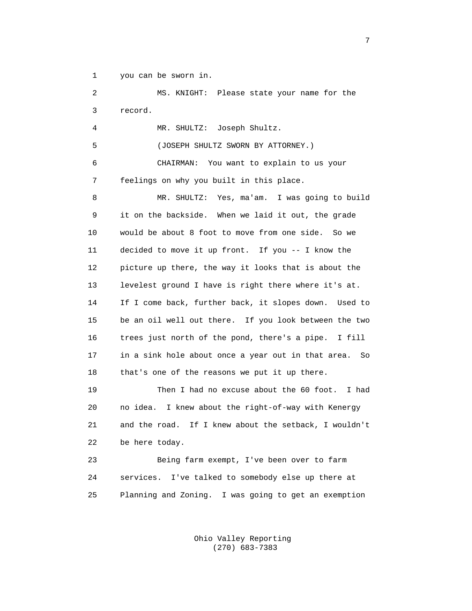1 you can be sworn in.

 2 MS. KNIGHT: Please state your name for the 3 record.

4 MR. SHULTZ: Joseph Shultz.

5 (JOSEPH SHULTZ SWORN BY ATTORNEY.)

 6 CHAIRMAN: You want to explain to us your 7 feelings on why you built in this place.

 8 MR. SHULTZ: Yes, ma'am. I was going to build 9 it on the backside. When we laid it out, the grade 10 would be about 8 foot to move from one side. So we 11 decided to move it up front. If you -- I know the 12 picture up there, the way it looks that is about the 13 levelest ground I have is right there where it's at. 14 If I come back, further back, it slopes down. Used to 15 be an oil well out there. If you look between the two 16 trees just north of the pond, there's a pipe. I fill 17 in a sink hole about once a year out in that area. So 18 that's one of the reasons we put it up there.

 19 Then I had no excuse about the 60 foot. I had 20 no idea. I knew about the right-of-way with Kenergy 21 and the road. If I knew about the setback, I wouldn't 22 be here today.

 23 Being farm exempt, I've been over to farm 24 services. I've talked to somebody else up there at 25 Planning and Zoning. I was going to get an exemption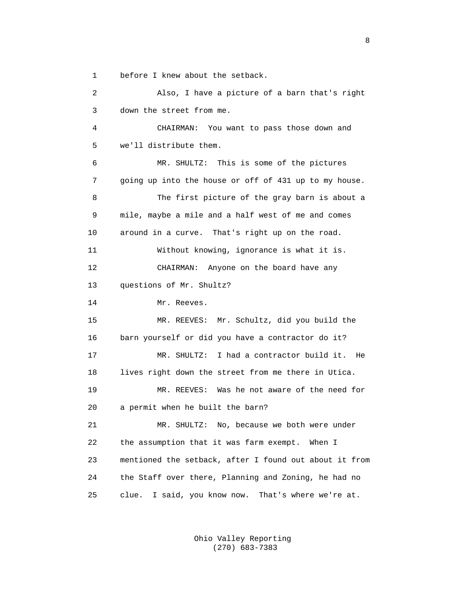1 before I knew about the setback.

 2 Also, I have a picture of a barn that's right 3 down the street from me. 4 CHAIRMAN: You want to pass those down and 5 we'll distribute them. 6 MR. SHULTZ: This is some of the pictures 7 going up into the house or off of 431 up to my house. 8 The first picture of the gray barn is about a 9 mile, maybe a mile and a half west of me and comes 10 around in a curve. That's right up on the road. 11 Without knowing, ignorance is what it is. 12 CHAIRMAN: Anyone on the board have any 13 questions of Mr. Shultz? 14 Mr. Reeves. 15 MR. REEVES: Mr. Schultz, did you build the 16 barn yourself or did you have a contractor do it? 17 MR. SHULTZ: I had a contractor build it. He 18 lives right down the street from me there in Utica. 19 MR. REEVES: Was he not aware of the need for 20 a permit when he built the barn? 21 MR. SHULTZ: No, because we both were under 22 the assumption that it was farm exempt. When I 23 mentioned the setback, after I found out about it from 24 the Staff over there, Planning and Zoning, he had no 25 clue. I said, you know now. That's where we're at.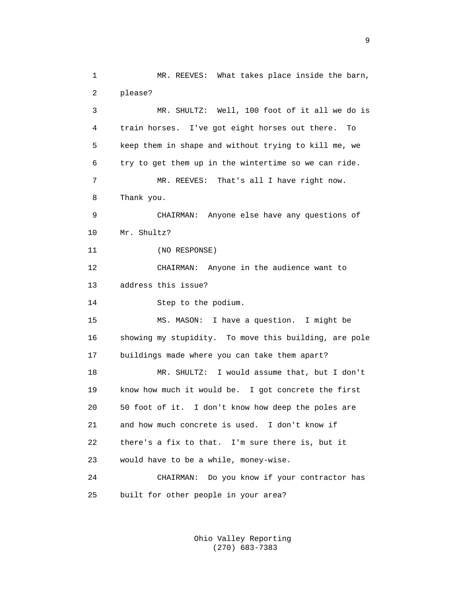1 MR. REEVES: What takes place inside the barn, 2 please? 3 MR. SHULTZ: Well, 100 foot of it all we do is 4 train horses. I've got eight horses out there. To 5 keep them in shape and without trying to kill me, we 6 try to get them up in the wintertime so we can ride. 7 MR. REEVES: That's all I have right now. 8 Thank you. 9 CHAIRMAN: Anyone else have any questions of 10 Mr. Shultz? 11 (NO RESPONSE) 12 CHAIRMAN: Anyone in the audience want to 13 address this issue? 14 Step to the podium. 15 MS. MASON: I have a question. I might be 16 showing my stupidity. To move this building, are pole 17 buildings made where you can take them apart? 18 MR. SHULTZ: I would assume that, but I don't 19 know how much it would be. I got concrete the first 20 50 foot of it. I don't know how deep the poles are 21 and how much concrete is used. I don't know if 22 there's a fix to that. I'm sure there is, but it 23 would have to be a while, money-wise. 24 CHAIRMAN: Do you know if your contractor has 25 built for other people in your area?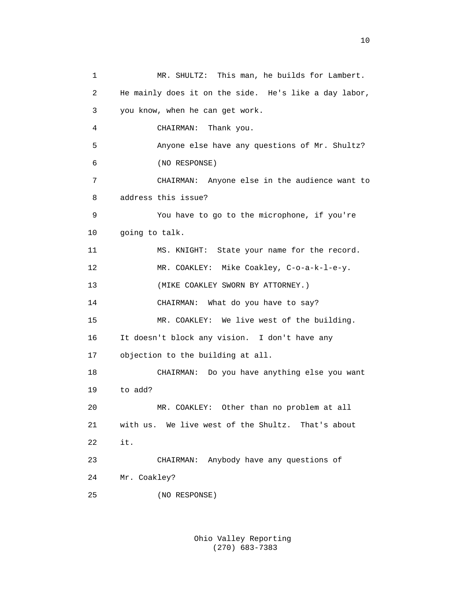1 MR. SHULTZ: This man, he builds for Lambert. 2 He mainly does it on the side. He's like a day labor, 3 you know, when he can get work. 4 CHAIRMAN: Thank you. 5 Anyone else have any questions of Mr. Shultz? 6 (NO RESPONSE) 7 CHAIRMAN: Anyone else in the audience want to 8 address this issue? 9 You have to go to the microphone, if you're 10 going to talk. 11 MS. KNIGHT: State your name for the record. 12 MR. COAKLEY: Mike Coakley, C-o-a-k-l-e-y. 13 (MIKE COAKLEY SWORN BY ATTORNEY.) 14 CHAIRMAN: What do you have to say? 15 MR. COAKLEY: We live west of the building. 16 It doesn't block any vision. I don't have any 17 objection to the building at all. 18 CHAIRMAN: Do you have anything else you want 19 to add? 20 MR. COAKLEY: Other than no problem at all 21 with us. We live west of the Shultz. That's about 22 it. 23 CHAIRMAN: Anybody have any questions of 24 Mr. Coakley? 25 (NO RESPONSE)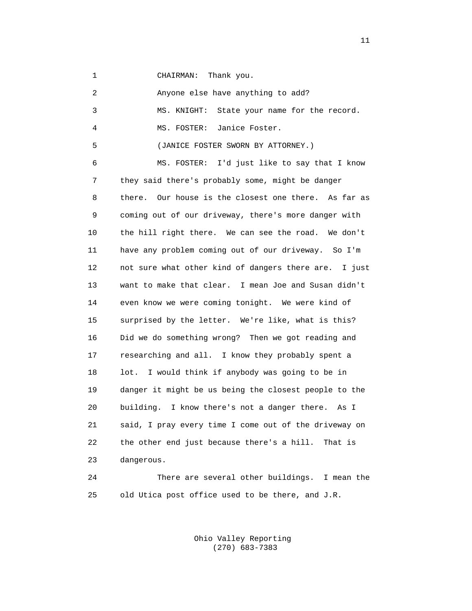1 CHAIRMAN: Thank you.

| 2  | Anyone else have anything to add?                       |
|----|---------------------------------------------------------|
| 3  | State your name for the record.<br>MS. KNIGHT:          |
| 4  | Janice Foster.<br>MS. FOSTER:                           |
| 5  | (JANICE FOSTER SWORN BY ATTORNEY.)                      |
| 6  | I'd just like to say that I know<br>MS. FOSTER:         |
| 7  | they said there's probably some, might be danger        |
| 8  | Our house is the closest one there. As far as<br>there. |
| 9  | coming out of our driveway, there's more danger with    |
| 10 | the hill right there. We can see the road. We don't     |
| 11 | have any problem coming out of our driveway.<br>So I'm  |
| 12 | not sure what other kind of dangers there are. I just   |
| 13 | want to make that clear. I mean Joe and Susan didn't    |
| 14 | even know we were coming tonight. We were kind of       |
| 15 | surprised by the letter. We're like, what is this?      |
| 16 | Did we do something wrong? Then we got reading and      |
| 17 | researching and all. I know they probably spent a       |
| 18 | I would think if anybody was going to be in<br>lot.     |
| 19 | danger it might be us being the closest people to the   |
| 20 | building. I know there's not a danger there.<br>As I    |
| 21 | said, I pray every time I come out of the driveway on   |
| 22 | the other end just because there's a hill.<br>That is   |
| 23 | dangerous.                                              |
| 24 | There are several other buildings.<br>I mean the        |

 Ohio Valley Reporting (270) 683-7383

25 old Utica post office used to be there, and J.R.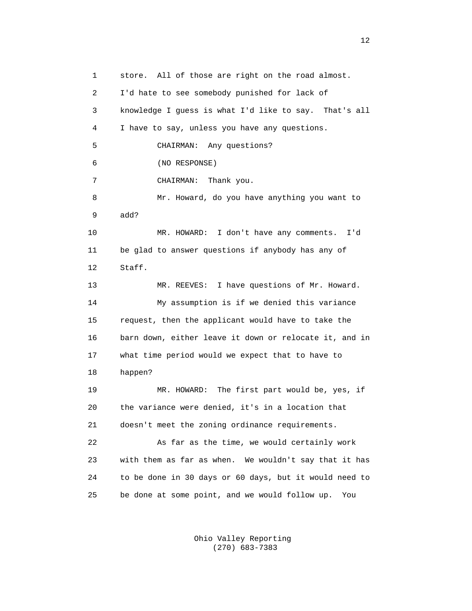1 store. All of those are right on the road almost. 2 I'd hate to see somebody punished for lack of 3 knowledge I guess is what I'd like to say. That's all 4 I have to say, unless you have any questions. 5 CHAIRMAN: Any questions? 6 (NO RESPONSE) 7 CHAIRMAN: Thank you. 8 Mr. Howard, do you have anything you want to 9 add? 10 MR. HOWARD: I don't have any comments. I'd 11 be glad to answer questions if anybody has any of 12 Staff. 13 MR. REEVES: I have questions of Mr. Howard. 14 My assumption is if we denied this variance 15 request, then the applicant would have to take the 16 barn down, either leave it down or relocate it, and in 17 what time period would we expect that to have to 18 happen? 19 MR. HOWARD: The first part would be, yes, if 20 the variance were denied, it's in a location that 21 doesn't meet the zoning ordinance requirements. 22 As far as the time, we would certainly work 23 with them as far as when. We wouldn't say that it has 24 to be done in 30 days or 60 days, but it would need to 25 be done at some point, and we would follow up. You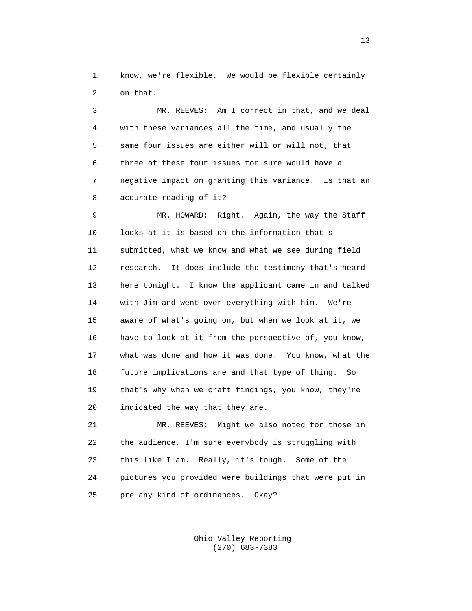1 know, we're flexible. We would be flexible certainly 2 on that.

 3 MR. REEVES: Am I correct in that, and we deal 4 with these variances all the time, and usually the 5 same four issues are either will or will not; that 6 three of these four issues for sure would have a 7 negative impact on granting this variance. Is that an 8 accurate reading of it?

 9 MR. HOWARD: Right. Again, the way the Staff 10 looks at it is based on the information that's 11 submitted, what we know and what we see during field 12 research. It does include the testimony that's heard 13 here tonight. I know the applicant came in and talked 14 with Jim and went over everything with him. We're 15 aware of what's going on, but when we look at it, we 16 have to look at it from the perspective of, you know, 17 what was done and how it was done. You know, what the 18 future implications are and that type of thing. So 19 that's why when we craft findings, you know, they're 20 indicated the way that they are.

 21 MR. REEVES: Might we also noted for those in 22 the audience, I'm sure everybody is struggling with 23 this like I am. Really, it's tough. Some of the 24 pictures you provided were buildings that were put in 25 pre any kind of ordinances. Okay?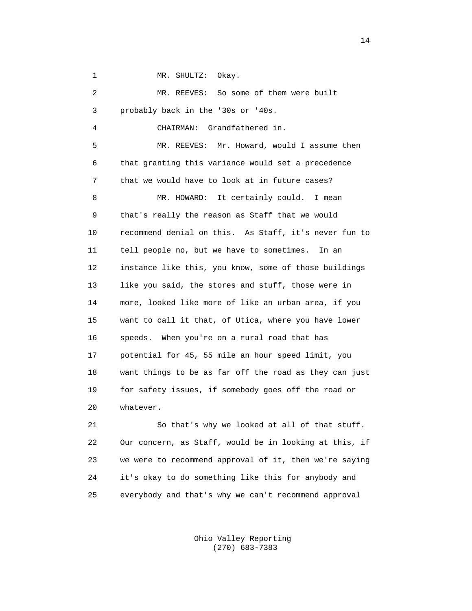1 MR. SHULTZ: Okay.

 2 MR. REEVES: So some of them were built 3 probably back in the '30s or '40s. 4 CHAIRMAN: Grandfathered in. 5 MR. REEVES: Mr. Howard, would I assume then 6 that granting this variance would set a precedence 7 that we would have to look at in future cases? 8 MR. HOWARD: It certainly could. I mean 9 that's really the reason as Staff that we would 10 recommend denial on this. As Staff, it's never fun to 11 tell people no, but we have to sometimes. In an 12 instance like this, you know, some of those buildings 13 like you said, the stores and stuff, those were in 14 more, looked like more of like an urban area, if you 15 want to call it that, of Utica, where you have lower 16 speeds. When you're on a rural road that has 17 potential for 45, 55 mile an hour speed limit, you 18 want things to be as far off the road as they can just 19 for safety issues, if somebody goes off the road or 20 whatever.

 21 So that's why we looked at all of that stuff. 22 Our concern, as Staff, would be in looking at this, if 23 we were to recommend approval of it, then we're saying 24 it's okay to do something like this for anybody and 25 everybody and that's why we can't recommend approval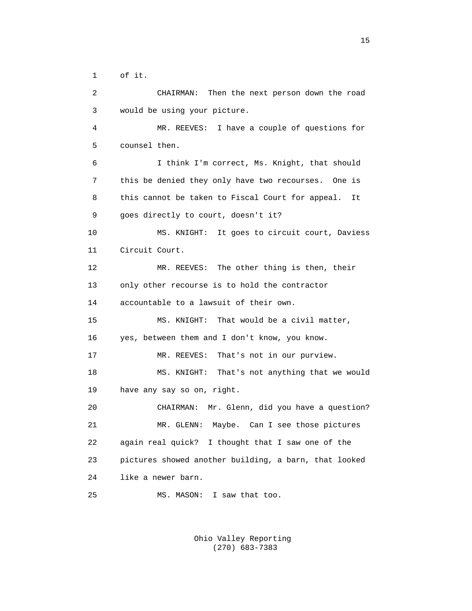1 of it.

 2 CHAIRMAN: Then the next person down the road 3 would be using your picture. 4 MR. REEVES: I have a couple of questions for 5 counsel then. 6 I think I'm correct, Ms. Knight, that should 7 this be denied they only have two recourses. One is 8 this cannot be taken to Fiscal Court for appeal. It 9 goes directly to court, doesn't it? 10 MS. KNIGHT: It goes to circuit court, Daviess 11 Circuit Court. 12 MR. REEVES: The other thing is then, their 13 only other recourse is to hold the contractor 14 accountable to a lawsuit of their own. 15 MS. KNIGHT: That would be a civil matter, 16 yes, between them and I don't know, you know. 17 MR. REEVES: That's not in our purview. 18 MS. KNIGHT: That's not anything that we would 19 have any say so on, right. 20 CHAIRMAN: Mr. Glenn, did you have a question? 21 MR. GLENN: Maybe. Can I see those pictures 22 again real quick? I thought that I saw one of the 23 pictures showed another building, a barn, that looked 24 like a newer barn. 25 MS. MASON: I saw that too.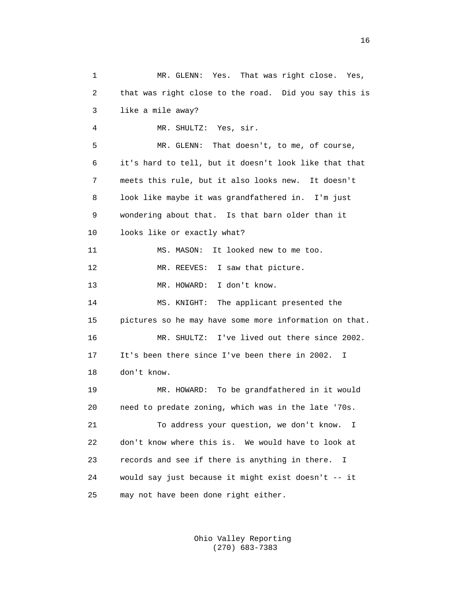1 MR. GLENN: Yes. That was right close. Yes, 2 that was right close to the road. Did you say this is 3 like a mile away? 4 MR. SHULTZ: Yes, sir. 5 MR. GLENN: That doesn't, to me, of course, 6 it's hard to tell, but it doesn't look like that that 7 meets this rule, but it also looks new. It doesn't 8 look like maybe it was grandfathered in. I'm just 9 wondering about that. Is that barn older than it 10 looks like or exactly what? 11 MS. MASON: It looked new to me too. 12 MR. REEVES: I saw that picture. 13 MR. HOWARD: I don't know. 14 MS. KNIGHT: The applicant presented the 15 pictures so he may have some more information on that. 16 MR. SHULTZ: I've lived out there since 2002. 17 It's been there since I've been there in 2002. I 18 don't know. 19 MR. HOWARD: To be grandfathered in it would 20 need to predate zoning, which was in the late '70s. 21 To address your question, we don't know. I 22 don't know where this is. We would have to look at 23 records and see if there is anything in there. I 24 would say just because it might exist doesn't -- it 25 may not have been done right either.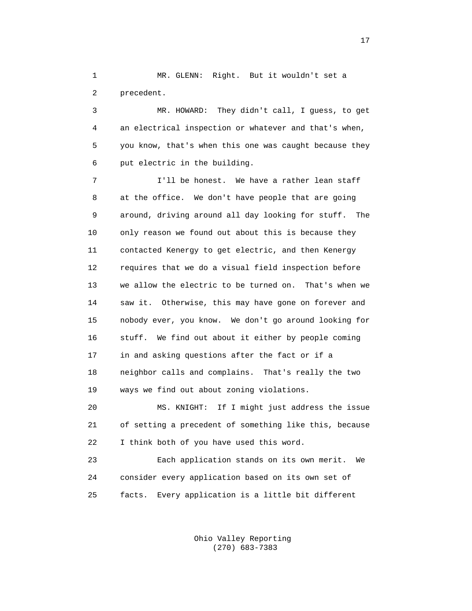1 MR. GLENN: Right. But it wouldn't set a 2 precedent.

 3 MR. HOWARD: They didn't call, I guess, to get 4 an electrical inspection or whatever and that's when, 5 you know, that's when this one was caught because they 6 put electric in the building.

 7 I'll be honest. We have a rather lean staff 8 at the office. We don't have people that are going 9 around, driving around all day looking for stuff. The 10 only reason we found out about this is because they 11 contacted Kenergy to get electric, and then Kenergy 12 requires that we do a visual field inspection before 13 we allow the electric to be turned on. That's when we 14 saw it. Otherwise, this may have gone on forever and 15 nobody ever, you know. We don't go around looking for 16 stuff. We find out about it either by people coming 17 in and asking questions after the fact or if a 18 neighbor calls and complains. That's really the two 19 ways we find out about zoning violations.

 20 MS. KNIGHT: If I might just address the issue 21 of setting a precedent of something like this, because 22 I think both of you have used this word.

 23 Each application stands on its own merit. We 24 consider every application based on its own set of 25 facts. Every application is a little bit different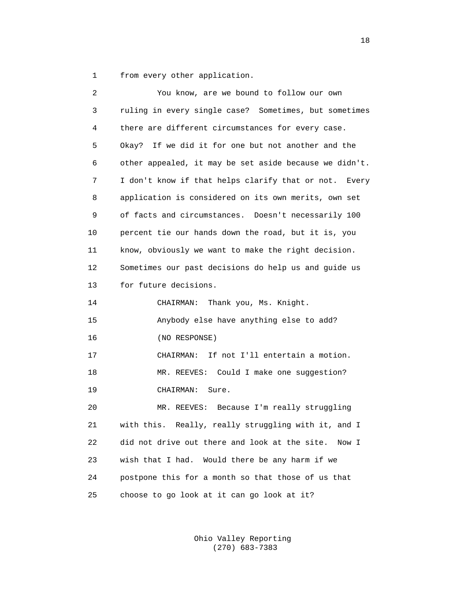1 from every other application.

| 2  | You know, are we bound to follow our own               |
|----|--------------------------------------------------------|
| 3  | ruling in every single case? Sometimes, but sometimes  |
| 4  | there are different circumstances for every case.      |
| 5  | Okay? If we did it for one but not another and the     |
| 6  | other appealed, it may be set aside because we didn't. |
| 7  | I don't know if that helps clarify that or not. Every  |
| 8  | application is considered on its own merits, own set   |
| 9  | of facts and circumstances. Doesn't necessarily 100    |
| 10 | percent tie our hands down the road, but it is, you    |
| 11 | know, obviously we want to make the right decision.    |
| 12 | Sometimes our past decisions do help us and guide us   |
| 13 | for future decisions.                                  |
| 14 | Thank you, Ms. Knight.<br>CHAIRMAN:                    |
| 15 | Anybody else have anything else to add?                |
| 16 | (NO RESPONSE)                                          |
| 17 | CHAIRMAN: If not I'll entertain a motion.              |
| 18 | MR. REEVES: Could I make one suggestion?               |
| 19 | CHAIRMAN:<br>Sure.                                     |
| 20 | MR. REEVES: Because I'm really struggling              |
| 21 | with this. Really, really struggling with it, and I    |
| 22 | did not drive out there and look at the site.<br>Now I |
| 23 | wish that I had.<br>Would there be any harm if we      |
| 24 | postpone this for a month so that those of us that     |
| 25 | choose to go look at it can go look at it?             |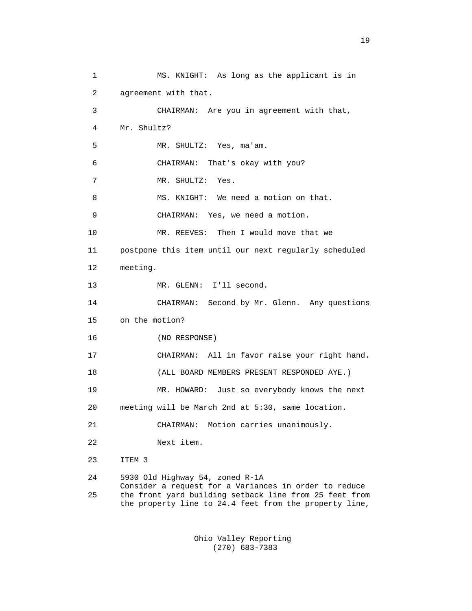1 MS. KNIGHT: As long as the applicant is in 2 agreement with that. 3 CHAIRMAN: Are you in agreement with that, 4 Mr. Shultz? 5 MR. SHULTZ: Yes, ma'am. 6 CHAIRMAN: That's okay with you? 7 MR. SHULTZ: Yes. 8 MS. KNIGHT: We need a motion on that. 9 CHAIRMAN: Yes, we need a motion. 10 MR. REEVES: Then I would move that we 11 postpone this item until our next regularly scheduled 12 meeting. 13 MR. GLENN: I'll second. 14 CHAIRMAN: Second by Mr. Glenn. Any questions 15 on the motion? 16 (NO RESPONSE) 17 CHAIRMAN: All in favor raise your right hand. 18 (ALL BOARD MEMBERS PRESENT RESPONDED AYE.) 19 MR. HOWARD: Just so everybody knows the next 20 meeting will be March 2nd at 5:30, same location. 21 CHAIRMAN: Motion carries unanimously. 22 Next item. 23 ITEM 3 24 5930 Old Highway 54, zoned R-1A Consider a request for a Variances in order to reduce 25 the front yard building setback line from 25 feet from the property line to 24.4 feet from the property line,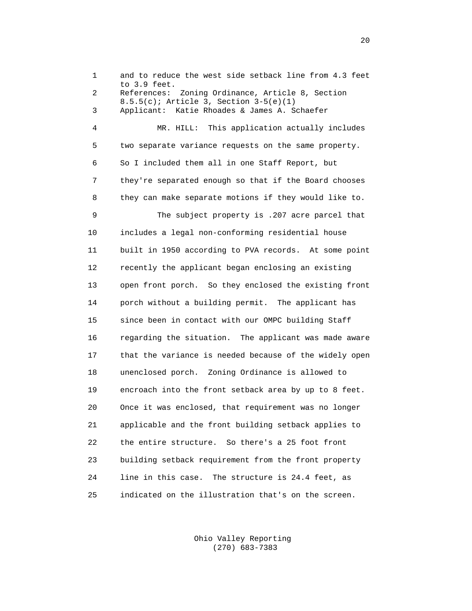1 and to reduce the west side setback line from 4.3 feet to 3.9 feet. 2 References: Zoning Ordinance, Article 8, Section 8.5.5(c); Article 3, Section 3-5(e)(1) 3 Applicant: Katie Rhoades & James A. Schaefer 4 MR. HILL: This application actually includes 5 two separate variance requests on the same property. 6 So I included them all in one Staff Report, but 7 they're separated enough so that if the Board chooses 8 they can make separate motions if they would like to. 9 The subject property is .207 acre parcel that 10 includes a legal non-conforming residential house 11 built in 1950 according to PVA records. At some point 12 recently the applicant began enclosing an existing 13 open front porch. So they enclosed the existing front 14 porch without a building permit. The applicant has 15 since been in contact with our OMPC building Staff 16 regarding the situation. The applicant was made aware 17 that the variance is needed because of the widely open 18 unenclosed porch. Zoning Ordinance is allowed to 19 encroach into the front setback area by up to 8 feet. 20 Once it was enclosed, that requirement was no longer 21 applicable and the front building setback applies to 22 the entire structure. So there's a 25 foot front 23 building setback requirement from the front property 24 line in this case. The structure is 24.4 feet, as 25 indicated on the illustration that's on the screen.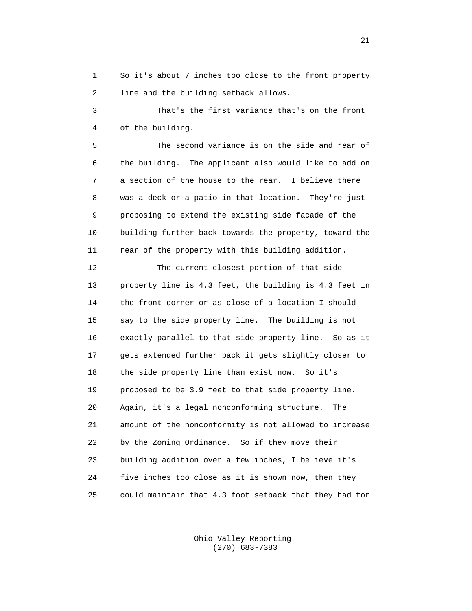1 So it's about 7 inches too close to the front property 2 line and the building setback allows.

 3 That's the first variance that's on the front 4 of the building.

 5 The second variance is on the side and rear of 6 the building. The applicant also would like to add on 7 a section of the house to the rear. I believe there 8 was a deck or a patio in that location. They're just 9 proposing to extend the existing side facade of the 10 building further back towards the property, toward the 11 rear of the property with this building addition.

 12 The current closest portion of that side 13 property line is 4.3 feet, the building is 4.3 feet in 14 the front corner or as close of a location I should 15 say to the side property line. The building is not 16 exactly parallel to that side property line. So as it 17 gets extended further back it gets slightly closer to 18 the side property line than exist now. So it's 19 proposed to be 3.9 feet to that side property line. 20 Again, it's a legal nonconforming structure. The 21 amount of the nonconformity is not allowed to increase 22 by the Zoning Ordinance. So if they move their 23 building addition over a few inches, I believe it's 24 five inches too close as it is shown now, then they 25 could maintain that 4.3 foot setback that they had for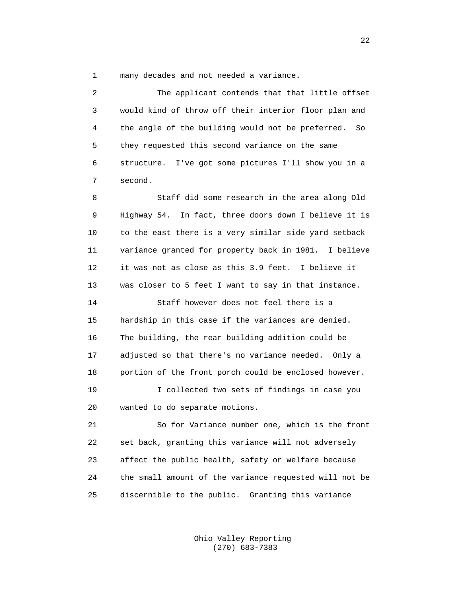1 many decades and not needed a variance.

| 2  | The applicant contends that that little offset          |
|----|---------------------------------------------------------|
| 3  | would kind of throw off their interior floor plan and   |
| 4  | the angle of the building would not be preferred.<br>So |
| 5  | they requested this second variance on the same         |
| 6  | I've got some pictures I'll show you in a<br>structure. |
| 7  | second.                                                 |
| 8  | Staff did some research in the area along Old           |
| 9  | Highway 54. In fact, three doors down I believe it is   |
| 10 | to the east there is a very similar side yard setback   |
| 11 | variance granted for property back in 1981. I believe   |
| 12 | it was not as close as this 3.9 feet. I believe it      |
| 13 | was closer to 5 feet I want to say in that instance.    |
| 14 | Staff however does not feel there is a                  |
| 15 | hardship in this case if the variances are denied.      |
| 16 | The building, the rear building addition could be       |
| 17 | adjusted so that there's no variance needed. Only a     |
| 18 | portion of the front porch could be enclosed however.   |
| 19 | I collected two sets of findings in case you            |
| 20 | wanted to do separate motions.                          |
| 21 | So for Variance number one, which is the front          |
| 22 | set back, granting this variance will not adversely     |
| 23 | affect the public health, safety or welfare because     |
| 24 | the small amount of the variance requested will not be  |
| 25 | discernible to the public.<br>Granting this variance    |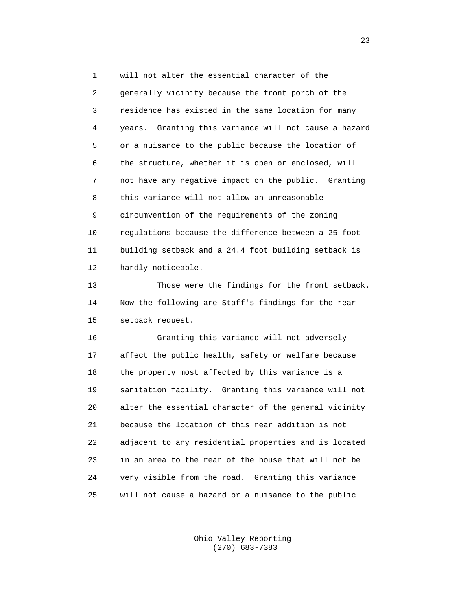1 will not alter the essential character of the 2 generally vicinity because the front porch of the 3 residence has existed in the same location for many 4 years. Granting this variance will not cause a hazard 5 or a nuisance to the public because the location of 6 the structure, whether it is open or enclosed, will 7 not have any negative impact on the public. Granting 8 this variance will not allow an unreasonable 9 circumvention of the requirements of the zoning 10 regulations because the difference between a 25 foot 11 building setback and a 24.4 foot building setback is 12 hardly noticeable. 13 Those were the findings for the front setback. 14 Now the following are Staff's findings for the rear 15 setback request.

 16 Granting this variance will not adversely 17 affect the public health, safety or welfare because 18 the property most affected by this variance is a 19 sanitation facility. Granting this variance will not 20 alter the essential character of the general vicinity 21 because the location of this rear addition is not 22 adjacent to any residential properties and is located 23 in an area to the rear of the house that will not be 24 very visible from the road. Granting this variance 25 will not cause a hazard or a nuisance to the public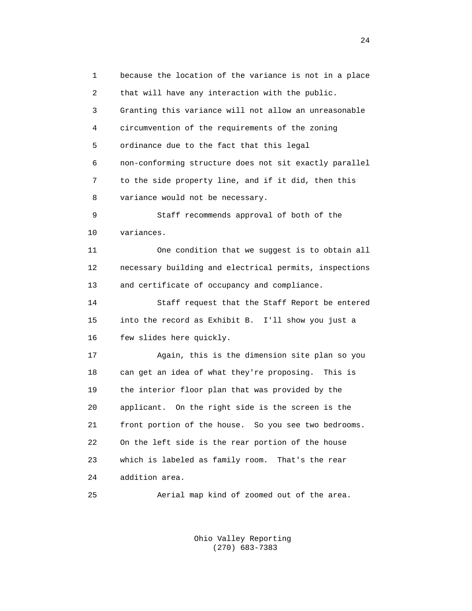1 because the location of the variance is not in a place 2 that will have any interaction with the public. 3 Granting this variance will not allow an unreasonable 4 circumvention of the requirements of the zoning 5 ordinance due to the fact that this legal 6 non-conforming structure does not sit exactly parallel 7 to the side property line, and if it did, then this 8 variance would not be necessary. 9 Staff recommends approval of both of the 10 variances. 11 One condition that we suggest is to obtain all 12 necessary building and electrical permits, inspections 13 and certificate of occupancy and compliance. 14 Staff request that the Staff Report be entered 15 into the record as Exhibit B. I'll show you just a 16 few slides here quickly. 17 Again, this is the dimension site plan so you 18 can get an idea of what they're proposing. This is 19 the interior floor plan that was provided by the 20 applicant. On the right side is the screen is the 21 front portion of the house. So you see two bedrooms. 22 On the left side is the rear portion of the house 23 which is labeled as family room. That's the rear 24 addition area. 25 Aerial map kind of zoomed out of the area.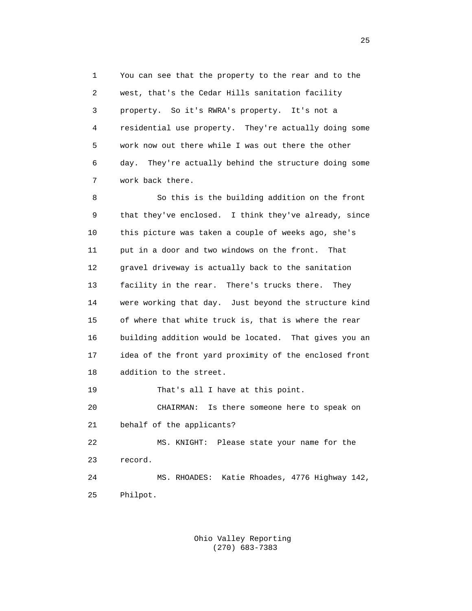1 You can see that the property to the rear and to the 2 west, that's the Cedar Hills sanitation facility 3 property. So it's RWRA's property. It's not a 4 residential use property. They're actually doing some 5 work now out there while I was out there the other 6 day. They're actually behind the structure doing some 7 work back there.

 8 So this is the building addition on the front 9 that they've enclosed. I think they've already, since 10 this picture was taken a couple of weeks ago, she's 11 put in a door and two windows on the front. That 12 gravel driveway is actually back to the sanitation 13 facility in the rear. There's trucks there. They 14 were working that day. Just beyond the structure kind 15 of where that white truck is, that is where the rear 16 building addition would be located. That gives you an 17 idea of the front yard proximity of the enclosed front 18 addition to the street. 19 That's all I have at this point. 20 CHAIRMAN: Is there someone here to speak on 21 behalf of the applicants? 22 MS. KNIGHT: Please state your name for the

23 record.

 24 MS. RHOADES: Katie Rhoades, 4776 Highway 142, 25 Philpot.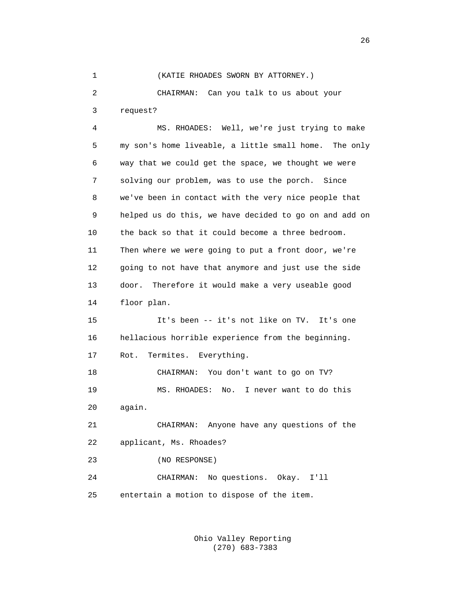## 1 (KATIE RHOADES SWORN BY ATTORNEY.)

 2 CHAIRMAN: Can you talk to us about your 3 request?

 4 MS. RHOADES: Well, we're just trying to make 5 my son's home liveable, a little small home. The only 6 way that we could get the space, we thought we were 7 solving our problem, was to use the porch. Since 8 we've been in contact with the very nice people that 9 helped us do this, we have decided to go on and add on 10 the back so that it could become a three bedroom. 11 Then where we were going to put a front door, we're 12 going to not have that anymore and just use the side 13 door. Therefore it would make a very useable good 14 floor plan. 15 It's been -- it's not like on TV. It's one 16 hellacious horrible experience from the beginning. 17 Rot. Termites. Everything. 18 CHAIRMAN: You don't want to go on TV? 19 MS. RHOADES: No. I never want to do this 20 again.

 21 CHAIRMAN: Anyone have any questions of the 22 applicant, Ms. Rhoades?

23 (NO RESPONSE)

 24 CHAIRMAN: No questions. Okay. I'll 25 entertain a motion to dispose of the item.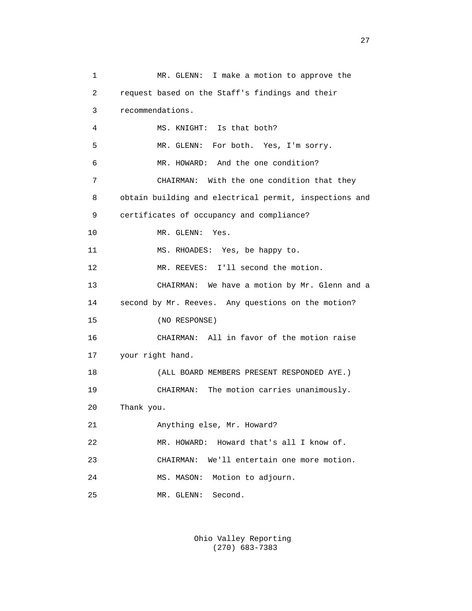1 MR. GLENN: I make a motion to approve the 2 request based on the Staff's findings and their 3 recommendations. 4 MS. KNIGHT: Is that both? 5 MR. GLENN: For both. Yes, I'm sorry. 6 MR. HOWARD: And the one condition? 7 CHAIRMAN: With the one condition that they 8 obtain building and electrical permit, inspections and 9 certificates of occupancy and compliance? 10 MR. GLENN: Yes. 11 MS. RHOADES: Yes, be happy to. 12 MR. REEVES: I'll second the motion. 13 CHAIRMAN: We have a motion by Mr. Glenn and a 14 second by Mr. Reeves. Any questions on the motion? 15 (NO RESPONSE) 16 CHAIRMAN: All in favor of the motion raise 17 your right hand. 18 (ALL BOARD MEMBERS PRESENT RESPONDED AYE.) 19 CHAIRMAN: The motion carries unanimously. 20 Thank you. 21 Anything else, Mr. Howard? 22 MR. HOWARD: Howard that's all I know of. 23 CHAIRMAN: We'll entertain one more motion. 24 MS. MASON: Motion to adjourn. 25 MR. GLENN: Second.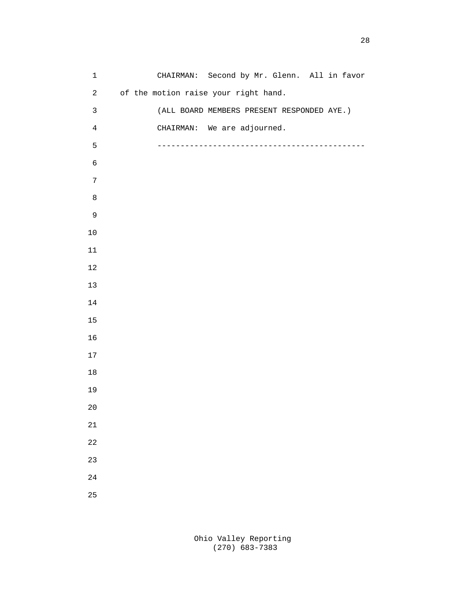| $\mathbf 1$             | CHAIRMAN: Second by Mr. Glenn. All in favor |
|-------------------------|---------------------------------------------|
| $\overline{a}$          | of the motion raise your right hand.        |
| $\mathbf{3}$            | (ALL BOARD MEMBERS PRESENT RESPONDED AYE.)  |
| $\overline{\mathbf{4}}$ | CHAIRMAN: We are adjourned.                 |
| 5                       |                                             |
| $\epsilon$              |                                             |
| $\overline{7}$          |                                             |
| $\,8\,$                 |                                             |
| $\mathsf 9$             |                                             |
| $10\,$                  |                                             |
| $11\,$                  |                                             |
| $1\,2$                  |                                             |
| $13$                    |                                             |
| $1\,4$                  |                                             |
| $15\,$                  |                                             |
| 16                      |                                             |
| $17\,$                  |                                             |
| $18\,$                  |                                             |
| 19                      |                                             |
| $20\,$                  |                                             |
| $21\,$                  |                                             |
| 22                      |                                             |
| 23                      |                                             |
| 24                      |                                             |
| 25                      |                                             |